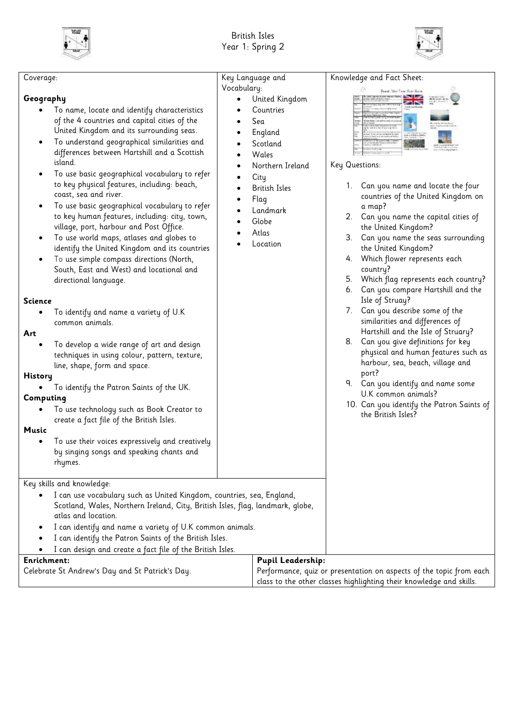



| Coverage:                                                                                                                                                                                                                                                                                                                                                                                                                                                                                                                                                                                                                                                                                                                                                                                                                                                                                                                                                                                                                                                                                                                                                                                                                                                                                                      | Key Language and                                                                                                                                                                                                               | Knowledge and Fact Sheet:                                                                                                                                                                                                                                                                                                                                                                                                                                                                                                                                                                                                                                                                                                                                                                                   |  |
|----------------------------------------------------------------------------------------------------------------------------------------------------------------------------------------------------------------------------------------------------------------------------------------------------------------------------------------------------------------------------------------------------------------------------------------------------------------------------------------------------------------------------------------------------------------------------------------------------------------------------------------------------------------------------------------------------------------------------------------------------------------------------------------------------------------------------------------------------------------------------------------------------------------------------------------------------------------------------------------------------------------------------------------------------------------------------------------------------------------------------------------------------------------------------------------------------------------------------------------------------------------------------------------------------------------|--------------------------------------------------------------------------------------------------------------------------------------------------------------------------------------------------------------------------------|-------------------------------------------------------------------------------------------------------------------------------------------------------------------------------------------------------------------------------------------------------------------------------------------------------------------------------------------------------------------------------------------------------------------------------------------------------------------------------------------------------------------------------------------------------------------------------------------------------------------------------------------------------------------------------------------------------------------------------------------------------------------------------------------------------------|--|
| Geography<br>To name, locate and identify characteristics<br>of the 4 countries and capital cities of the<br>United Kingdom and its surrounding seas.<br>To understand geographical similarities and<br>differences between Hartshill and a Scottish<br>island.<br>To use basic geographical vocabulary to refer<br>to key physical features, including: beach,<br>coast, sea and river.<br>To use basic geographical vocabulary to refer<br>to key human features, including: city, town,<br>village, port, harbour and Post Office.<br>To use world maps, atlases and globes to<br>$\bullet$<br>identify the United Kingdom and its countries<br>To use simple compass directions (North,<br>South, East and West) and locational and<br>directional language.<br><b>Science</b><br>To identify and name a variety of U.K<br>common animals.<br>Art<br>To develop a wide range of art and design<br>techniques in using colour, pattern, texture,<br>line, shape, form and space.<br><b>History</b><br>To identify the Patron Saints of the UK.<br>Computing<br>To use technology such as Book Creator to<br>create a fact file of the British Isles.<br><b>Music</b><br>To use their voices expressively and creatively<br>by singing songs and speaking chants and<br>rhymes.<br>Key skills and knowledge: | Vocabulary:<br>United Kingdom<br>Countries<br>Sea<br>England<br>Scotland<br>Wales<br>Northern Ireland<br>$\bullet$<br>City<br><b>British Isles</b><br>$\bullet$<br>Flag<br>$\bullet$<br>Landmark<br>Globe<br>Atlas<br>Location | British Islam Engel Fran Shocks.<br>Key Questions:<br>1. Can you name and locate the four<br>countries of the United Kingdom on<br>a map?<br>2. Can you name the capital cities of<br>the United Kingdom?<br>3.<br>Can you name the seas surrounding<br>the United Kingdom?<br>Which flower represents each<br>4.<br>country?<br>5. Which flag represents each country?<br>Can you compare Hartshill and the<br>6.<br>Isle of Struay?<br>7. Can you describe some of the<br>similarities and differences of<br>Hartshill and the Isle of Struary?<br>8. Can you give definitions for key<br>physical and human features such as<br>harbour, sea, beach, village and<br>port?<br>9. Can you identify and name some<br>U.K common animals?<br>10. Can you identify the Patron Saints of<br>the British Isles? |  |
| I can use vocabulary such as United Kingdom, countries, sea, England,<br>Scotland, Wales, Northern Ireland, City, British Isles, flag, landmark, globe,<br>atlas and location.<br>I can identify and name a variety of U.K common animals.<br>I can identify the Patron Saints of the British Isles.<br>I can design and create a fact file of the British Isles.                                                                                                                                                                                                                                                                                                                                                                                                                                                                                                                                                                                                                                                                                                                                                                                                                                                                                                                                              |                                                                                                                                                                                                                                |                                                                                                                                                                                                                                                                                                                                                                                                                                                                                                                                                                                                                                                                                                                                                                                                             |  |
| <b>Pupil Leadership:</b><br>Enrichment:                                                                                                                                                                                                                                                                                                                                                                                                                                                                                                                                                                                                                                                                                                                                                                                                                                                                                                                                                                                                                                                                                                                                                                                                                                                                        |                                                                                                                                                                                                                                |                                                                                                                                                                                                                                                                                                                                                                                                                                                                                                                                                                                                                                                                                                                                                                                                             |  |
| Celebrate St Andrew's Day and St Patrick's Day.                                                                                                                                                                                                                                                                                                                                                                                                                                                                                                                                                                                                                                                                                                                                                                                                                                                                                                                                                                                                                                                                                                                                                                                                                                                                |                                                                                                                                                                                                                                | Performance, quiz or presentation on aspects of the topic from each                                                                                                                                                                                                                                                                                                                                                                                                                                                                                                                                                                                                                                                                                                                                         |  |
|                                                                                                                                                                                                                                                                                                                                                                                                                                                                                                                                                                                                                                                                                                                                                                                                                                                                                                                                                                                                                                                                                                                                                                                                                                                                                                                |                                                                                                                                                                                                                                | class to the other classes highlighting their knowledge and skills.                                                                                                                                                                                                                                                                                                                                                                                                                                                                                                                                                                                                                                                                                                                                         |  |